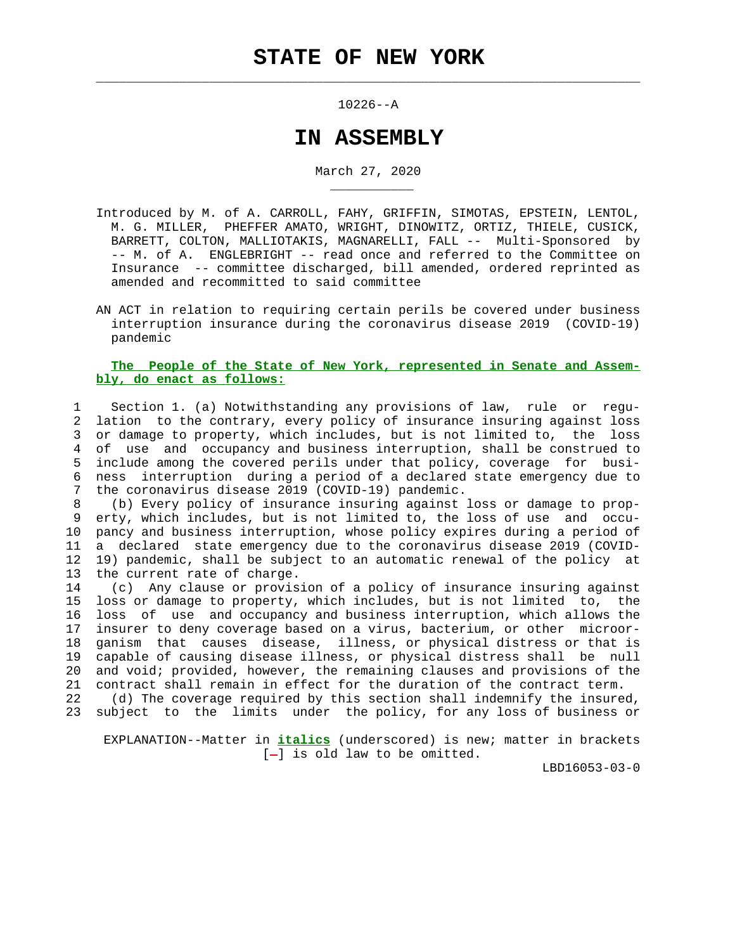$\mathcal{L}_\text{max} = \frac{1}{2} \sum_{i=1}^{n} \frac{1}{2} \sum_{i=1}^{n} \frac{1}{2} \sum_{i=1}^{n} \frac{1}{2} \sum_{i=1}^{n} \frac{1}{2} \sum_{i=1}^{n} \frac{1}{2} \sum_{i=1}^{n} \frac{1}{2} \sum_{i=1}^{n} \frac{1}{2} \sum_{i=1}^{n} \frac{1}{2} \sum_{i=1}^{n} \frac{1}{2} \sum_{i=1}^{n} \frac{1}{2} \sum_{i=1}^{n} \frac{1}{2} \sum_{i=1}^{n} \frac{1$ 

\_\_\_\_\_\_\_\_\_\_\_

10226--A

## **IN ASSEMBLY**

March 27, 2020

- Introduced by M. of A. CARROLL, FAHY, GRIFFIN, SIMOTAS, EPSTEIN, LENTOL, M. G. MILLER, PHEFFER AMATO, WRIGHT, DINOWITZ, ORTIZ, THIELE, CUSICK, BARRETT, COLTON, MALLIOTAKIS, MAGNARELLI, FALL -- Multi-Sponsored by -- M. of A. ENGLEBRIGHT -- read once and referred to the Committee on Insurance -- committee discharged, bill amended, ordered reprinted as amended and recommitted to said committee
- AN ACT in relation to requiring certain perils be covered under business interruption insurance during the coronavirus disease 2019 (COVID-19) pandemic

## **The People of the State of New York, represented in Senate and Assem bly, do enact as follows:**

 1 Section 1. (a) Notwithstanding any provisions of law, rule or regu- 2 lation to the contrary, every policy of insurance insuring against loss 3 or damage to property, which includes, but is not limited to, the loss 4 of use and occupancy and business interruption, shall be construed to 5 include among the covered perils under that policy, coverage for busi- 6 ness interruption during a period of a declared state emergency due to 7 the coronavirus disease 2019 (COVID-19) pandemic.

 8 (b) Every policy of insurance insuring against loss or damage to prop- 9 erty, which includes, but is not limited to, the loss of use and occu- 10 pancy and business interruption, whose policy expires during a period of 11 a declared state emergency due to the coronavirus disease 2019 (COVID- 12 19) pandemic, shall be subject to an automatic renewal of the policy at 13 the current rate of charge.

 14 (c) Any clause or provision of a policy of insurance insuring against 15 loss or damage to property, which includes, but is not limited to, the 16 loss of use and occupancy and business interruption, which allows the 17 insurer to deny coverage based on a virus, bacterium, or other microor- 18 ganism that causes disease, illness, or physical distress or that is 19 capable of causing disease illness, or physical distress shall be null 20 and void; provided, however, the remaining clauses and provisions of the 21 contract shall remain in effect for the duration of the contract term.

 22 (d) The coverage required by this section shall indemnify the insured, 23 subject to the limits under the policy, for any loss of business or

 EXPLANATION--Matter in **italics** (underscored) is new; matter in brackets  $[-]$  is old law to be omitted.

LBD16053-03-0